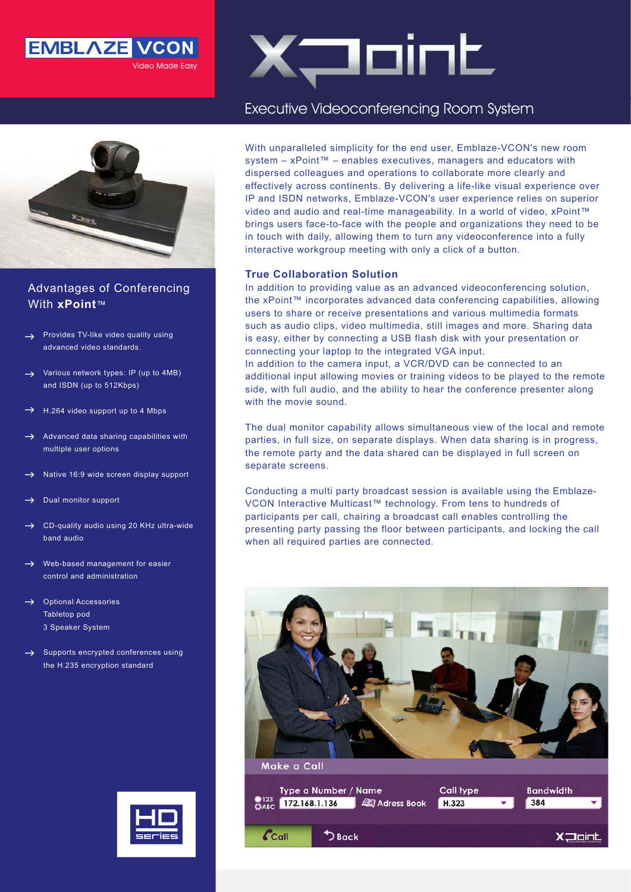



## Advantages of Conferencing With xPoint<sup>™</sup>

- Provides TV-like video quality using advanced video standards.  $\rightarrow$
- Various network types: IP (up to 4MB) and ISDN (up to 512Kbps)  $\rightarrow$
- H.264 video support up to 4 Mbps  $\rightarrow$
- Advanced data sharing capabilities with multiple user options  $\rightarrow$
- Native 16:9 wide screen display support  $\rightarrow$
- Dual monitor support  $\rightarrow$
- CD-quality audio using 20 KHz ultra-wide band audio  $\rightarrow$
- $\rightarrow$  Web-based management for easier control and administration
- $\rightarrow$  Optional Accessories Tabletop pod 3 Speaker System
- $\rightarrow$  Supports encrypted conferences using the H.235 encryption standard



# $X$ <sup>-</sup>

# Executive Videoconferencing Room System

With unparalleled simplicity for the end user, Emblaze-VCON's new room system – xPoint™ – enables executives, managers and educators with dispersed colleagues and operations to collaborate more clearly and effectively across continents. By delivering a life-like visual experience over IP and ISDN networks. Emblaze-VCON's user experience relies on superior video and audio and real-time manageability. In a world of video,  $x$  Point<sup> $m$ </sup> brings users face-to-face with the people and organizations they need to be in touch with daily, allowing them to turn any videoconference into a fully interactive workgroup meeting with only a click of a button.

#### **True Collaboration Solution**

In addition to providing value as an advanced videoconferencing solution, the xPoint™ incorporates advanced data conferencing capabilities, allowing users to share or receive presentations and various multimedia formats such as audio clips, video multimedia, still images and more. Sharing data is easy, either by connecting a USB flash disk with your presentation or connecting your laptop to the integrated VGA input.

In addition to the camera input, a VCR/DVD can be connected to an additional input allowing movies or training videos to be played to the remote side, with full audio, and the ability to hear the conference presenter along with the movie sound.

The dual monitor capability allows simultaneous view of the local and remote parties, in full size, on separate displays. When data sharing is in progress, the remote party and the data shared can be displayed in full screen on separate screens.

VCON Interactive Multicast™ technology. From tens to hundreds of Conducting a multi party broadcast session is available using the Emblazeparticipants per call, chairing a broadcast call enables controlling the presenting party passing the floor between participants, and locking the call when all required parties are connected.